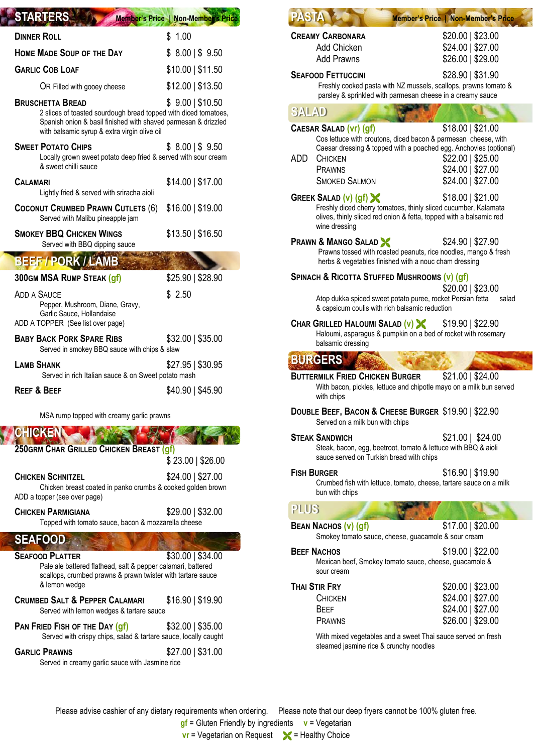| <b>STARTERS</b>                                                                                                                                                                                              | Member's Price   Non-Member's F |
|--------------------------------------------------------------------------------------------------------------------------------------------------------------------------------------------------------------|---------------------------------|
| <b>DINNER ROLL</b>                                                                                                                                                                                           | \$1.00                          |
| <b>HOME MADE SOUP OF THE DAY</b>                                                                                                                                                                             | $$8.00 \, \, $9.50$             |
| <b>GARLIC COB LOAF</b>                                                                                                                                                                                       | $$10.00 \mid $11.50$            |
| OR Filled with gooey cheese                                                                                                                                                                                  | $$12.00 \mid $13.50$            |
| <b>BRUSCHETTA BREAD</b><br>2 slices of toasted sourdough bread topped with diced tomatoes,<br>Spanish onion & basil finished with shaved parmesan & drizzled<br>with balsamic syrup & extra virgin olive oil | $$9.00 \, \, $10.50$            |
| <b>SWEET POTATO CHIPS</b><br>Locally grown sweet potato deep fried & served with sour cream<br>& sweet chilli sauce                                                                                          | $$8.00 \, \, $9.50$             |
| <b>CALAMARI</b><br>Lightly fried & served with sriracha aioli                                                                                                                                                | $$14.00 \mid $17.00$            |
| COCONUT CRUMBED PRAWN CUTLETS (6)<br>Served with Malibu pineapple jam                                                                                                                                        | $$16.00$   \$19.00              |
| <b>SMOKEY BBQ CHICKEN WINGS</b><br>Served with BBQ dipping sauce                                                                                                                                             | \$13.50   \$16.50               |
| <b>BEEF / PORK / LAMB</b>                                                                                                                                                                                    |                                 |
| <b>300GM MSA RUMP STEAK (gf)</b>                                                                                                                                                                             | \$25.90   \$28.90               |
| <b>ADD A SAUCE</b><br>Pepper, Mushroom, Diane, Gravy,<br>Garlic Sauce, Hollandaise<br>ADD A TOPPER (See list over page)                                                                                      | \$2.50                          |
| <b>BABY BACK PORK SPARE RIBS</b><br>Served in smokey BBQ sauce with chips & slaw                                                                                                                             | \$32.00   \$35.00               |
| <b>LAMB SHANK</b><br>Served in rich Italian sauce & on Sweet potato mash                                                                                                                                     | $$27.95 \mid $30.95$            |
| <b>REEF &amp; BEEF</b>                                                                                                                                                                                       | \$40.90   \$45.90               |
| MSA rump topped with creamy garlic prawns                                                                                                                                                                    |                                 |
| <b>CHICKEN</b>                                                                                                                                                                                               |                                 |
| 250GRM CHAR GRILLED CHICKEN BREAST (gf)                                                                                                                                                                      |                                 |
|                                                                                                                                                                                                              | \$23.00   \$26.00               |
| <b>CHICKEN SCHNITZEL</b><br>Chicken breast coated in panko crumbs & cooked golden brown<br>ADD a topper (see over page)                                                                                      | \$24.00   \$27.00               |
| <b>CHICKEN PARMIGIANA</b><br>Topped with tomato sauce, bacon & mozzarella cheese                                                                                                                             | $$29.00$   \$32.00              |
| <b>SEAFOOD</b>                                                                                                                                                                                               |                                 |
| <b>SEAFOOD PLATTER</b><br>Pale ale battered flathead, salt & pepper calamari, battered<br>scallops, crumbed prawns & prawn twister with tartare sauce<br>& lemon wedge                                       | $$30.00 \mid $34.00$            |
| <b>CRUMBED SALT &amp; PEPPER CALAMARI</b><br>Served with lemon wedges & tartare sauce                                                                                                                        | \$16.90   \$19.90               |
| PAN FRIED FISH OF THE DAY (gf)<br>Served with crispy chips, salad & tartare sauce, locally caught                                                                                                            | \$32.00   \$35.00               |
| <b>GARLIC PRAWNS</b><br>Served in creamy garlic sauce with Jasmine rice                                                                                                                                      | $$27.00 \mid $31.00$            |

Y

|                    | <b>Member's Price   Non-Member's Price</b>                                                                                                                                                                                      |                                                                                      |
|--------------------|---------------------------------------------------------------------------------------------------------------------------------------------------------------------------------------------------------------------------------|--------------------------------------------------------------------------------------|
|                    | <b>CREAMY CARBONARA</b><br><b>Add Chicken</b><br><b>Add Prawns</b>                                                                                                                                                              | \$20.00   \$23.00<br>\$24.00   \$27.00<br>\$26.00   \$29.00                          |
|                    | <b>SEAFOOD FETTUCCINI</b><br>Freshly cooked pasta with NZ mussels, scallops, prawns tomato &<br>parsley & sprinkled with parmesan cheese in a creamy sauce                                                                      | \$28.90   \$31.90                                                                    |
| <b>SALAD</b>       |                                                                                                                                                                                                                                 |                                                                                      |
| ADD.               | <b>CAESAR SALAD (Vr) (gf)</b><br>Cos lettuce with croutons, diced bacon & parmesan cheese, with<br>Caesar dressing & topped with a poached egg. Anchovies (optional)<br><b>CHICKEN</b><br><b>PRAWNS</b><br><b>SMOKED SALMON</b> | $$18.00 \mid $21.00$<br>$$22.00$   \$25.00<br>\$24.00   \$27.00<br>\$24.00   \$27.00 |
|                    | <b>GREEK SALAD (v) (gf) X</b><br>Freshly diced cherry tomatoes, thinly sliced cucumber, Kalamata<br>olives, thinly sliced red onion & fetta, topped with a balsamic red<br>wine dressing                                        | $$18.00 \mid $21.00$                                                                 |
|                    | <b>PRAWN &amp; MANGO SALAD &amp;</b><br>Prawns tossed with roasted peanuts, rice noodles, mango & fresh<br>herbs & vegetables finished with a nouc cham dressing                                                                | $$24.90 \mid $27.90$                                                                 |
|                    | SPINACH & RICOTTA STUFFED MUSHROOMS (v) (gf)                                                                                                                                                                                    | $$20.00$   \$23.00                                                                   |
|                    | Atop dukka spiced sweet potato puree, rocket Persian fetta<br>& capsicum coulis with rich balsamic reduction                                                                                                                    | salad                                                                                |
|                    | CHAR GRILLED HALOUMI SALAD $(v)$ \$19.90   \$22.90<br>Haloumi, asparagus & pumpkin on a bed of rocket with rosemary<br>balsamic dressing                                                                                        |                                                                                      |
|                    | <b>BURGERS</b>                                                                                                                                                                                                                  |                                                                                      |
|                    | <b>BUTTERMILK FRIED CHICKEN BURGER</b><br>With bacon, pickles, lettuce and chipotle mayo on a milk bun served<br>with chips                                                                                                     | \$21.00   \$24.00                                                                    |
|                    |                                                                                                                                                                                                                                 |                                                                                      |
|                    | DOUBLE BEEF, BACON & CHEESE BURGER \$19.90   \$22.90<br>Served on a milk bun with chips                                                                                                                                         |                                                                                      |
|                    | <b>STEAK SANDWICH</b><br>Steak, bacon, egg, beetroot, tomato & lettuce with BBQ & aioli<br>sauce served on Turkish bread with chips                                                                                             | $$21.00$   \$24.00                                                                   |
| <b>FISH BURGER</b> | Crumbed fish with lettuce, tomato, cheese, tartare sauce on a milk<br>bun with chips                                                                                                                                            | $$16.90 \mid $19.90$                                                                 |
| <b>PLUS</b>        |                                                                                                                                                                                                                                 |                                                                                      |
|                    | BEAN NACHOS (v) (gf)<br>Smokey tomato sauce, cheese, guacamole & sour cream                                                                                                                                                     | $$17.00 \mid $20.00$                                                                 |
|                    | <b>BEEF NACHOS</b><br>Mexican beef, Smokey tomato sauce, cheese, guacamole &<br>sour cream                                                                                                                                      | $$19.00$   \$22.00                                                                   |

Please advise cashier of any dietary requirements when ordering. Please note that our deep fryers cannot be 100% gluten free.

**gf** = Gluten Friendly by ingredients **v** = Vegetarian

**vr** = Vegetarian on Request  $\mathcal{L}$  = Healthy Choice